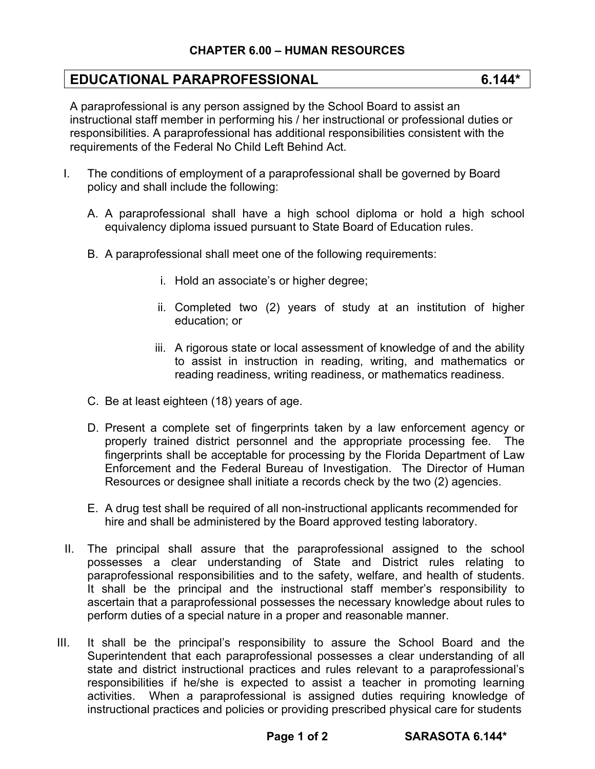## **EDUCATIONAL PARAPROFESSIONAL 6.144\***

A paraprofessional is any person assigned by the School Board to assist an instructional staff member in performing his / her instructional or professional duties or responsibilities. A paraprofessional has additional responsibilities consistent with the requirements of the Federal No Child Left Behind Act.

- I. The conditions of employment of a paraprofessional shall be governed by Board policy and shall include the following:
	- A. A paraprofessional shall have a high school diploma or hold a high school equivalency diploma issued pursuant to State Board of Education rules.
	- B. A paraprofessional shall meet one of the following requirements:
		- i. Hold an associate's or higher degree;
		- ii. Completed two (2) years of study at an institution of higher education; or
		- iii. A rigorous state or local assessment of knowledge of and the ability to assist in instruction in reading, writing, and mathematics or reading readiness, writing readiness, or mathematics readiness.
	- C. Be at least eighteen (18) years of age.
	- D. Present a complete set of fingerprints taken by a law enforcement agency or properly trained district personnel and the appropriate processing fee. The fingerprints shall be acceptable for processing by the Florida Department of Law Enforcement and the Federal Bureau of Investigation. The Director of Human Resources or designee shall initiate a records check by the two (2) agencies.
	- E. A drug test shall be required of all non-instructional applicants recommended for hire and shall be administered by the Board approved testing laboratory.
- II. The principal shall assure that the paraprofessional assigned to the school possesses a clear understanding of State and District rules relating to paraprofessional responsibilities and to the safety, welfare, and health of students. It shall be the principal and the instructional staff member's responsibility to ascertain that a paraprofessional possesses the necessary knowledge about rules to perform duties of a special nature in a proper and reasonable manner.
- III. It shall be the principal's responsibility to assure the School Board and the Superintendent that each paraprofessional possesses a clear understanding of all state and district instructional practices and rules relevant to a paraprofessional's responsibilities if he/she is expected to assist a teacher in promoting learning activities. When a paraprofessional is assigned duties requiring knowledge of instructional practices and policies or providing prescribed physical care for students